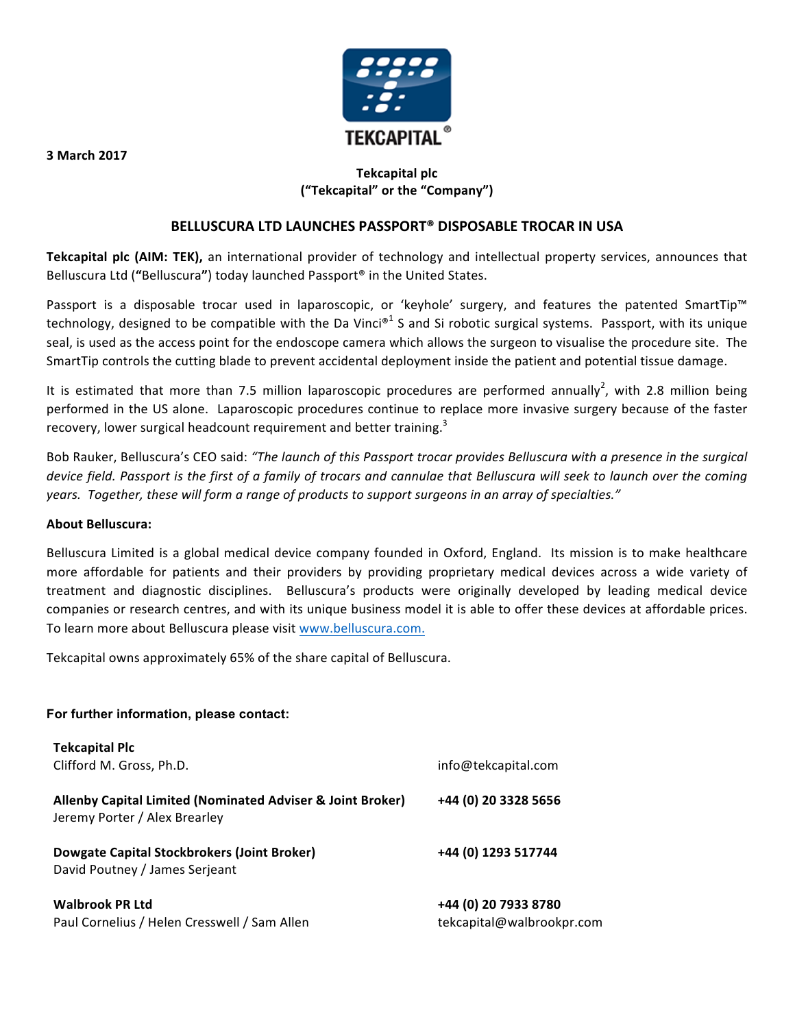

# **Tekcapital plc ("Tekcapital" or the "Company")**

#### **BELLUSCURA LTD LAUNCHES PASSPORT® DISPOSABLE TROCAR IN USA**

Tekcapital plc (AIM: TEK), an international provider of technology and intellectual property services, announces that Belluscura Ltd ("Belluscura") today launched Passport<sup>®</sup> in the United States.

Passport is a disposable trocar used in laparoscopic, or 'keyhole' surgery, and features the patented SmartTip™ technology, designed to be compatible with the Da Vinci<sup>®1</sup> S and Si robotic surgical systems. Passport, with its unique seal, is used as the access point for the endoscope camera which allows the surgeon to visualise the procedure site. The SmartTip controls the cutting blade to prevent accidental deployment inside the patient and potential tissue damage.

It is estimated that more than 7.5 million laparoscopic procedures are performed annually<sup>2</sup>, with 2.8 million being performed in the US alone. Laparoscopic procedures continue to replace more invasive surgery because of the faster recovery, lower surgical headcount requirement and better training.<sup>3</sup>

Bob Rauker, Belluscura's CEO said: "The launch of this Passport trocar provides Belluscura with a presence in the surgical *device field. Passport is the first of a family of trocars and cannulae that Belluscura will seek to launch over the coming* years. Together, these will form a range of products to support surgeons in an array of specialties."

#### **About Belluscura:**

Belluscura Limited is a global medical device company founded in Oxford, England. Its mission is to make healthcare more affordable for patients and their providers by providing proprietary medical devices across a wide variety of treatment and diagnostic disciplines. Belluscura's products were originally developed by leading medical device companies or research centres, and with its unique business model it is able to offer these devices at affordable prices. To learn more about Belluscura please visit www.belluscura.com.

Tekcapital owns approximately 65% of the share capital of Belluscura.

#### **For further information, please contact:**

| <b>Tekcapital Plc</b>                                                                       |                                                   |
|---------------------------------------------------------------------------------------------|---------------------------------------------------|
| Clifford M. Gross, Ph.D.                                                                    | info@tekcapital.com                               |
| Allenby Capital Limited (Nominated Adviser & Joint Broker)<br>Jeremy Porter / Alex Brearley | +44 (0) 20 3328 5656                              |
| Dowgate Capital Stockbrokers (Joint Broker)<br>David Poutney / James Serjeant               | +44 (0) 1293 517744                               |
| <b>Walbrook PR Ltd</b><br>Paul Cornelius / Helen Cresswell / Sam Allen                      | +44 (0) 20 7933 8780<br>tekcapital@walbrookpr.com |

**3 March 2017**